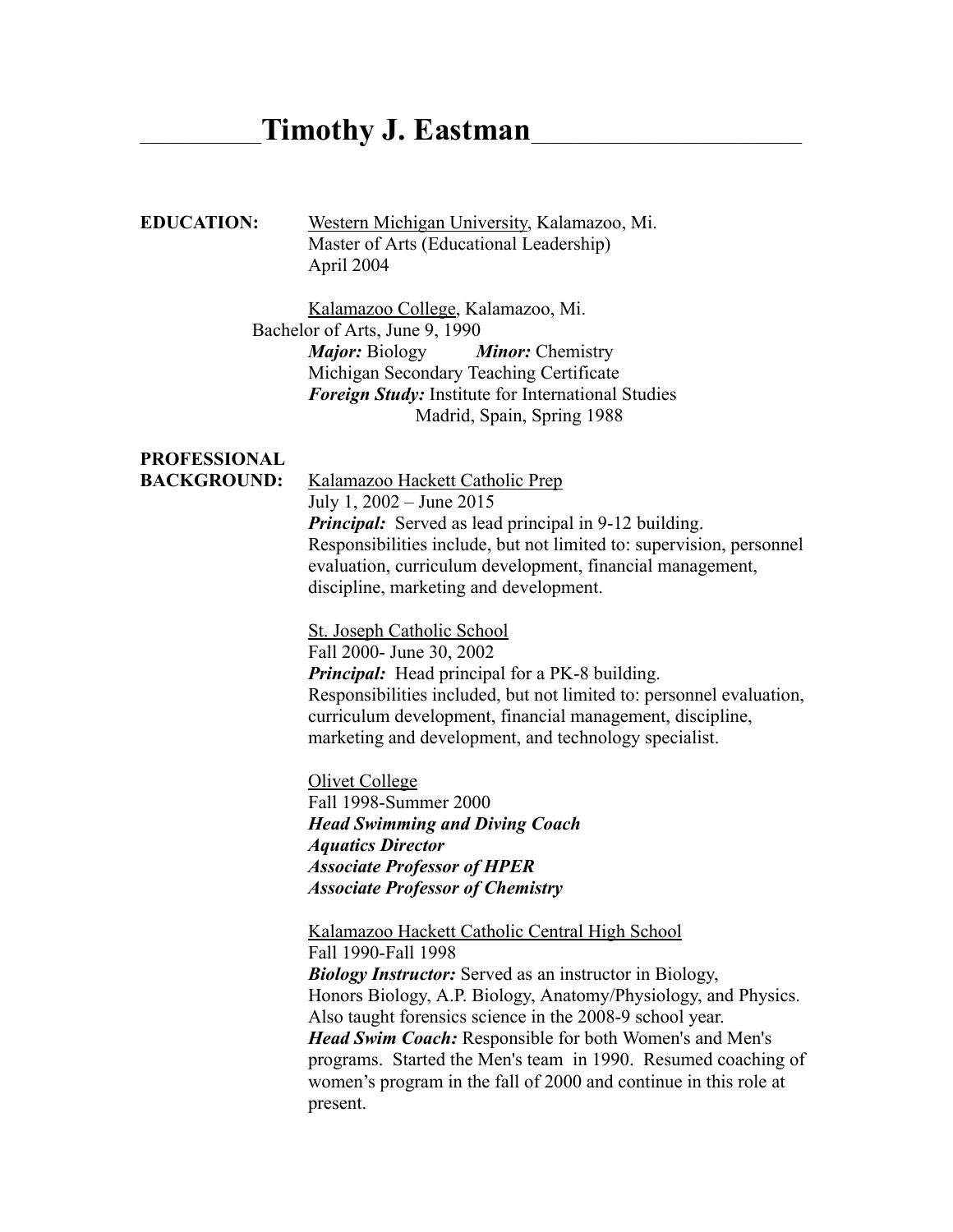# \_\_\_\_\_\_\_\_\_\_\_\_\_**Timothy J. Eastman**\_\_\_\_\_\_\_\_\_\_\_\_\_\_\_\_\_\_\_\_\_\_\_\_\_\_\_\_\_

### **EDUCATION:** Western Michigan University, Kalamazoo, Mi. Master of Arts (Educational Leadership) April 2004

Kalamazoo College, Kalamazoo, Mi. Bachelor of Arts, June 9, 1990 *Major:* Biology *Minor:* Chemistry Michigan Secondary Teaching Certificate *Foreign Study:* Institute for International Studies Madrid, Spain, Spring 1988

## **PROFESSIONAL**

**BACKGROUND:** Kalamazoo Hackett Catholic Prep July 1, 2002 – June 2015 *Principal:* Served as lead principal in 9-12 building. Responsibilities include, but not limited to: supervision, personnel evaluation, curriculum development, financial management, discipline, marketing and development.

> St. Joseph Catholic School Fall 2000- June 30, 2002 *Principal:* Head principal for a PK-8 building. Responsibilities included, but not limited to: personnel evaluation, curriculum development, financial management, discipline, marketing and development, and technology specialist.

Olivet College Fall 1998-Summer 2000 *Head Swimming and Diving Coach Aquatics Director Associate Professor of HPER Associate Professor of Chemistry*

Kalamazoo Hackett Catholic Central High School

Fall 1990-Fall 1998 *Biology Instructor:* Served as an instructor in Biology, Honors Biology, A.P. Biology, Anatomy/Physiology, and Physics. Also taught forensics science in the 2008-9 school year. *Head Swim Coach:* Responsible for both Women's and Men's programs. Started the Men's team in 1990. Resumed coaching of women's program in the fall of 2000 and continue in this role at present.